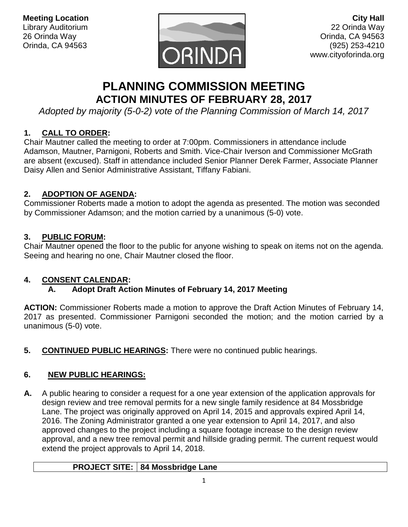

# **PLANNING COMMISSION MEETING ACTION MINUTES OF FEBRUARY 28, 2017**

*Adopted by majority (5-0-2) vote of the Planning Commission of March 14, 2017*

## **1. CALL TO ORDER:**

Chair Mautner called the meeting to order at 7:00pm. Commissioners in attendance include Adamson, Mautner, Parnigoni, Roberts and Smith. Vice-Chair Iverson and Commissioner McGrath are absent (excused). Staff in attendance included Senior Planner Derek Farmer, Associate Planner Daisy Allen and Senior Administrative Assistant, Tiffany Fabiani.

## **2. ADOPTION OF AGENDA:**

Commissioner Roberts made a motion to adopt the agenda as presented. The motion was seconded by Commissioner Adamson; and the motion carried by a unanimous (5-0) vote.

## **3. PUBLIC FORUM:**

Chair Mautner opened the floor to the public for anyone wishing to speak on items not on the agenda. Seeing and hearing no one, Chair Mautner closed the floor.

### **4. CONSENT CALENDAR:**

# **A. Adopt Draft Action Minutes of February 14, 2017 Meeting**

**ACTION:** Commissioner Roberts made a motion to approve the Draft Action Minutes of February 14, 2017 as presented. Commissioner Parnigoni seconded the motion; and the motion carried by a unanimous (5-0) vote.

**5. CONTINUED PUBLIC HEARINGS:** There were no continued public hearings.

# **6. NEW PUBLIC HEARINGS:**

**A.** A public hearing to consider a request for a one year extension of the application approvals for design review and tree removal permits for a new single family residence at 84 Mossbridge Lane. The project was originally approved on April 14, 2015 and approvals expired April 14, 2016. The Zoning Administrator granted a one year extension to April 14, 2017, and also approved changes to the project including a square footage increase to the design review approval, and a new tree removal permit and hillside grading permit. The current request would extend the project approvals to April 14, 2018.

### **PROJECT SITE: 84 Mossbridge Lane**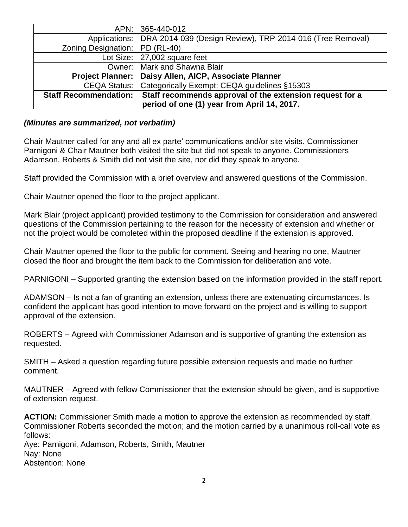| APN: I                       | 365-440-012                                               |
|------------------------------|-----------------------------------------------------------|
| Applications:                | DRA-2014-039 (Design Review), TRP-2014-016 (Tree Removal) |
| Zoning Designation:          | <b>PD (RL-40)</b>                                         |
|                              | Lot Size: $ 27,002$ square feet                           |
| Owner:                       | Mark and Shawna Blair                                     |
| <b>Project Planner:</b>      | Daisy Allen, AICP, Associate Planner                      |
| CEQA Status:                 | Categorically Exempt: CEQA guidelines §15303              |
| <b>Staff Recommendation:</b> | Staff recommends approval of the extension request for a  |
|                              | period of one (1) year from April 14, 2017.               |

#### *(Minutes are summarized, not verbatim)*

Chair Mautner called for any and all ex parte' communications and/or site visits. Commissioner Parnigoni & Chair Mautner both visited the site but did not speak to anyone. Commissioners Adamson, Roberts & Smith did not visit the site, nor did they speak to anyone.

Staff provided the Commission with a brief overview and answered questions of the Commission.

Chair Mautner opened the floor to the project applicant.

Mark Blair (project applicant) provided testimony to the Commission for consideration and answered questions of the Commission pertaining to the reason for the necessity of extension and whether or not the project would be completed within the proposed deadline if the extension is approved.

Chair Mautner opened the floor to the public for comment. Seeing and hearing no one, Mautner closed the floor and brought the item back to the Commission for deliberation and vote.

PARNIGONI – Supported granting the extension based on the information provided in the staff report.

ADAMSON – Is not a fan of granting an extension, unless there are extenuating circumstances. Is confident the applicant has good intention to move forward on the project and is willing to support approval of the extension.

ROBERTS – Agreed with Commissioner Adamson and is supportive of granting the extension as requested.

SMITH – Asked a question regarding future possible extension requests and made no further comment.

MAUTNER – Agreed with fellow Commissioner that the extension should be given, and is supportive of extension request.

**ACTION:** Commissioner Smith made a motion to approve the extension as recommended by staff. Commissioner Roberts seconded the motion; and the motion carried by a unanimous roll-call vote as follows:

Aye: Parnigoni, Adamson, Roberts, Smith, Mautner Nay: None Abstention: None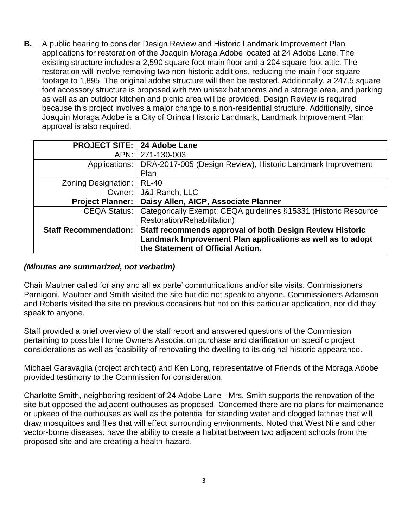**B.** A public hearing to consider Design Review and Historic Landmark Improvement Plan applications for restoration of the Joaquin Moraga Adobe located at 24 Adobe Lane. The existing structure includes a 2,590 square foot main floor and a 204 square foot attic. The restoration will involve removing two non-historic additions, reducing the main floor square footage to 1,895. The original adobe structure will then be restored. Additionally, a 247.5 square foot accessory structure is proposed with two unisex bathrooms and a storage area, and parking as well as an outdoor kitchen and picnic area will be provided. Design Review is required because this project involves a major change to a non-residential structure. Additionally, since Joaquin Moraga Adobe is a City of Orinda Historic Landmark, Landmark Improvement Plan approval is also required.

| <b>PROJECT SITE: 24 Adobe Lane</b> |                                                                 |
|------------------------------------|-----------------------------------------------------------------|
| APN:                               | 271-130-003                                                     |
| Applications:                      | DRA-2017-005 (Design Review), Historic Landmark Improvement     |
|                                    | Plan                                                            |
| Zoning Designation:                | <b>RL-40</b>                                                    |
| Owner: I                           | <b>J&amp;J Ranch, LLC</b>                                       |
| <b>Project Planner:</b>            | Daisy Allen, AICP, Associate Planner                            |
| CEQA Status:                       | Categorically Exempt: CEQA guidelines §15331 (Historic Resource |
|                                    | Restoration/Rehabilitation)                                     |
| <b>Staff Recommendation:</b>       | Staff recommends approval of both Design Review Historic        |
|                                    | Landmark Improvement Plan applications as well as to adopt      |
|                                    | the Statement of Official Action.                               |

#### *(Minutes are summarized, not verbatim)*

Chair Mautner called for any and all ex parte' communications and/or site visits. Commissioners Parnigoni, Mautner and Smith visited the site but did not speak to anyone. Commissioners Adamson and Roberts visited the site on previous occasions but not on this particular application, nor did they speak to anyone.

Staff provided a brief overview of the staff report and answered questions of the Commission pertaining to possible Home Owners Association purchase and clarification on specific project considerations as well as feasibility of renovating the dwelling to its original historic appearance.

Michael Garavaglia (project architect) and Ken Long, representative of Friends of the Moraga Adobe provided testimony to the Commission for consideration.

Charlotte Smith, neighboring resident of 24 Adobe Lane - Mrs. Smith supports the renovation of the site but opposed the adjacent outhouses as proposed. Concerned there are no plans for maintenance or upkeep of the outhouses as well as the potential for standing water and clogged latrines that will draw mosquitoes and flies that will effect surrounding environments. Noted that West Nile and other vector-borne diseases, have the ability to create a habitat between two adjacent schools from the proposed site and are creating a health-hazard.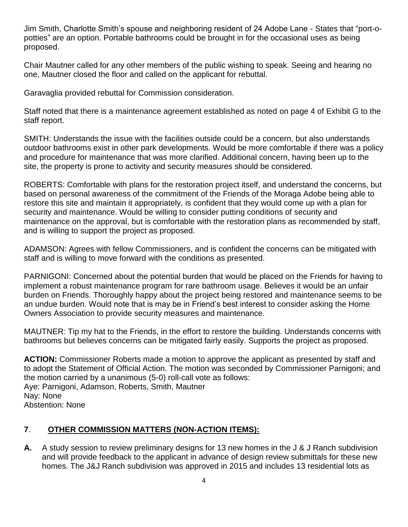Jim Smith, Charlotte Smith's spouse and neighboring resident of 24 Adobe Lane - States that "port-opotties" are an option. Portable bathrooms could be brought in for the occasional uses as being proposed.

Chair Mautner called for any other members of the public wishing to speak. Seeing and hearing no one, Mautner closed the floor and called on the applicant for rebuttal.

Garavaglia provided rebuttal for Commission consideration.

Staff noted that there is a maintenance agreement established as noted on page 4 of Exhibit G to the staff report.

SMITH: Understands the issue with the facilities outside could be a concern, but also understands outdoor bathrooms exist in other park developments. Would be more comfortable if there was a policy and procedure for maintenance that was more clarified. Additional concern, having been up to the site, the property is prone to activity and security measures should be considered.

ROBERTS: Comfortable with plans for the restoration project itself, and understand the concerns, but based on personal awareness of the commitment of the Friends of the Moraga Adobe being able to restore this site and maintain it appropriately, is confident that they would come up with a plan for security and maintenance. Would be willing to consider putting conditions of security and maintenance on the approval, but is comfortable with the restoration plans as recommended by staff, and is willing to support the project as proposed.

ADAMSON: Agrees with fellow Commissioners, and is confident the concerns can be mitigated with staff and is willing to move forward with the conditions as presented.

PARNIGONI: Concerned about the potential burden that would be placed on the Friends for having to implement a robust maintenance program for rare bathroom usage. Believes it would be an unfair burden on Friends. Thoroughly happy about the project being restored and maintenance seems to be an undue burden. Would note that is may be in Friend's best interest to consider asking the Home Owners Association to provide security measures and maintenance.

MAUTNER: Tip my hat to the Friends, in the effort to restore the building. Understands concerns with bathrooms but believes concerns can be mitigated fairly easily. Supports the project as proposed.

**ACTION:** Commissioner Roberts made a motion to approve the applicant as presented by staff and to adopt the Statement of Official Action. The motion was seconded by Commissioner Parnigoni; and the motion carried by a unanimous (5-0) roll-call vote as follows: Aye: Parnigoni, Adamson, Roberts, Smith, Mautner Nay: None Abstention: None

### **7**. **OTHER COMMISSION MATTERS (NON-ACTION ITEMS):**

**A.** A study session to review preliminary designs for 13 new homes in the J & J Ranch subdivision and will provide feedback to the applicant in advance of design review submittals for these new homes. The J&J Ranch subdivision was approved in 2015 and includes 13 residential lots as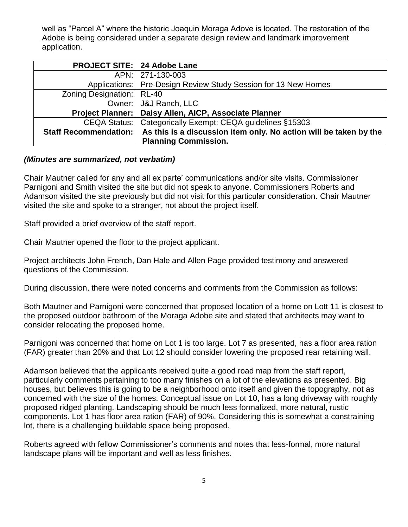well as "Parcel A" where the historic Joaquin Moraga Adove is located. The restoration of the Adobe is being considered under a separate design review and landmark improvement application.

| <b>PROJECT SITE: 24 Adobe Lane</b> |                                                                   |
|------------------------------------|-------------------------------------------------------------------|
|                                    | APN: 271-130-003                                                  |
|                                    | Applications:   Pre-Design Review Study Session for 13 New Homes  |
| Zoning Designation:   RL-40        |                                                                   |
|                                    | Owner:   J&J Ranch, LLC                                           |
|                                    | Project Planner:   Daisy Allen, AICP, Associate Planner           |
|                                    | CEQA Status:   Categorically Exempt: CEQA guidelines §15303       |
| <b>Staff Recommendation:</b>       | As this is a discussion item only. No action will be taken by the |
|                                    | <b>Planning Commission.</b>                                       |

#### *(Minutes are summarized, not verbatim)*

Chair Mautner called for any and all ex parte' communications and/or site visits. Commissioner Parnigoni and Smith visited the site but did not speak to anyone. Commissioners Roberts and Adamson visited the site previously but did not visit for this particular consideration. Chair Mautner visited the site and spoke to a stranger, not about the project itself.

Staff provided a brief overview of the staff report.

Chair Mautner opened the floor to the project applicant.

Project architects John French, Dan Hale and Allen Page provided testimony and answered questions of the Commission.

During discussion, there were noted concerns and comments from the Commission as follows:

Both Mautner and Parnigoni were concerned that proposed location of a home on Lott 11 is closest to the proposed outdoor bathroom of the Moraga Adobe site and stated that architects may want to consider relocating the proposed home.

Parnigoni was concerned that home on Lot 1 is too large. Lot 7 as presented, has a floor area ration (FAR) greater than 20% and that Lot 12 should consider lowering the proposed rear retaining wall.

Adamson believed that the applicants received quite a good road map from the staff report, particularly comments pertaining to too many finishes on a lot of the elevations as presented. Big houses, but believes this is going to be a neighborhood onto itself and given the topography, not as concerned with the size of the homes. Conceptual issue on Lot 10, has a long driveway with roughly proposed ridged planting. Landscaping should be much less formalized, more natural, rustic components. Lot 1 has floor area ration (FAR) of 90%. Considering this is somewhat a constraining lot, there is a challenging buildable space being proposed.

Roberts agreed with fellow Commissioner's comments and notes that less-formal, more natural landscape plans will be important and well as less finishes.